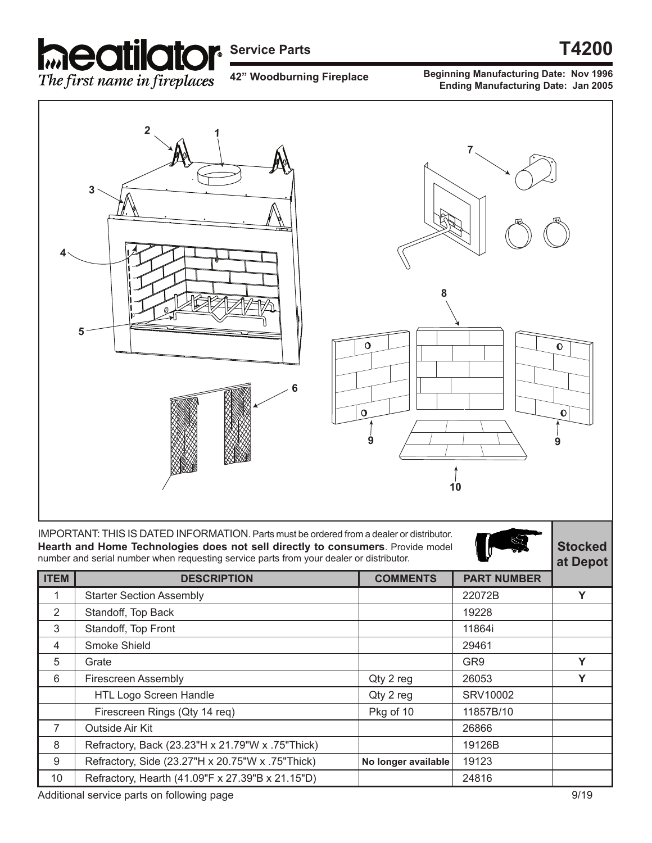

## **Service Parts T4200**

**42" Woodburning Fireplace**

**Beginning Manufacturing Date: Nov 1996 Ending Manufacturing Date: Jan 2005**



|             |                                                  | ul popol            |                    |   |
|-------------|--------------------------------------------------|---------------------|--------------------|---|
| <b>ITEM</b> | <b>DESCRIPTION</b>                               | <b>COMMENTS</b>     | <b>PART NUMBER</b> |   |
|             | <b>Starter Section Assembly</b>                  |                     | 22072B             |   |
| 2           | Standoff, Top Back                               |                     | 19228              |   |
| 3           | Standoff, Top Front                              |                     | 11864i             |   |
| 4           | Smoke Shield                                     |                     | 29461              |   |
| 5           | Grate                                            |                     | GR <sub>9</sub>    | v |
| 6           | <b>Firescreen Assembly</b>                       | Qty 2 reg           | 26053              | v |
|             | HTL Logo Screen Handle                           | Qty 2 reg           | SRV10002           |   |
|             | Firescreen Rings (Qty 14 req)                    | Pkg of 10           | 11857B/10          |   |
| 7           | Outside Air Kit                                  |                     | 26866              |   |
| 8           | Refractory, Back (23.23"H x 21.79"W x .75"Thick) |                     | 19126B             |   |
| 9           | Refractory, Side (23.27"H x 20.75"W x .75"Thick) | No longer available | 19123              |   |
| 10          | Refractory, Hearth (41.09"F x 27.39"B x 21.15"D) |                     | 24816              |   |

Additional service parts on following page 9/19